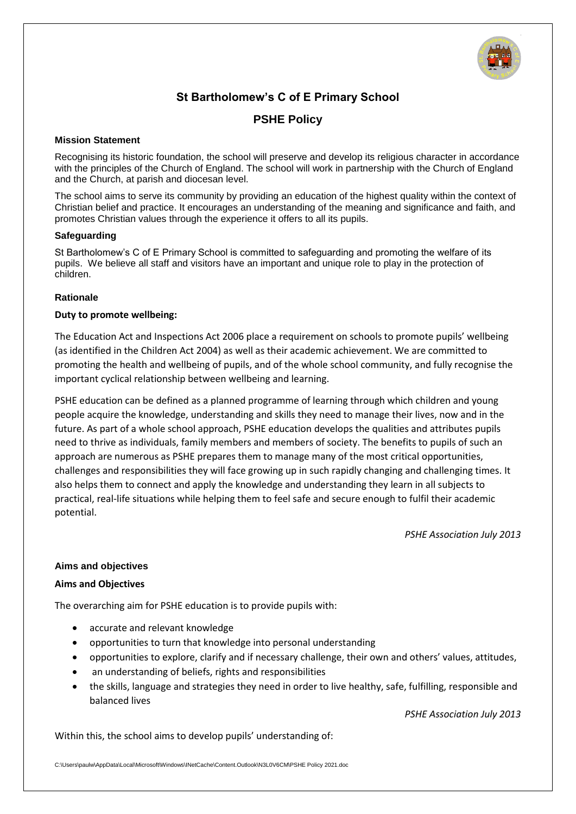

# **St Bartholomew's C of E Primary School**

# **PSHE Policy**

#### **Mission Statement**

Recognising its historic foundation, the school will preserve and develop its religious character in accordance with the principles of the Church of England. The school will work in partnership with the Church of England and the Church, at parish and diocesan level.

The school aims to serve its community by providing an education of the highest quality within the context of Christian belief and practice. It encourages an understanding of the meaning and significance and faith, and promotes Christian values through the experience it offers to all its pupils.

#### **Safeguarding**

St Bartholomew's C of E Primary School is committed to safeguarding and promoting the welfare of its pupils. We believe all staff and visitors have an important and unique role to play in the protection of children.

#### **Rationale**

#### **Duty to promote wellbeing:**

The Education Act and Inspections Act 2006 place a requirement on schools to promote pupils' wellbeing (as identified in the Children Act 2004) as well as their academic achievement. We are committed to promoting the health and wellbeing of pupils, and of the whole school community, and fully recognise the important cyclical relationship between wellbeing and learning.

PSHE education can be defined as a planned programme of learning through which children and young people acquire the knowledge, understanding and skills they need to manage their lives, now and in the future. As part of a whole school approach, PSHE education develops the qualities and attributes pupils need to thrive as individuals, family members and members of society. The benefits to pupils of such an approach are numerous as PSHE prepares them to manage many of the most critical opportunities, challenges and responsibilities they will face growing up in such rapidly changing and challenging times. It also helps them to connect and apply the knowledge and understanding they learn in all subjects to practical, real-life situations while helping them to feel safe and secure enough to fulfil their academic potential.

*PSHE Association July 2013*

#### **Aims and objectives**

#### **Aims and Objectives**

The overarching aim for PSHE education is to provide pupils with:

- accurate and relevant knowledge
- opportunities to turn that knowledge into personal understanding
- opportunities to explore, clarify and if necessary challenge, their own and others' values, attitudes,
- an understanding of beliefs, rights and responsibilities
- the skills, language and strategies they need in order to live healthy, safe, fulfilling, responsible and balanced lives

*PSHE Association July 2013*

Within this, the school aims to develop pupils' understanding of:

C:\Users\paulw\AppData\Local\Microsoft\Windows\INetCache\Content.Outlook\N3L0V6CM\PSHE Policy 2021.doc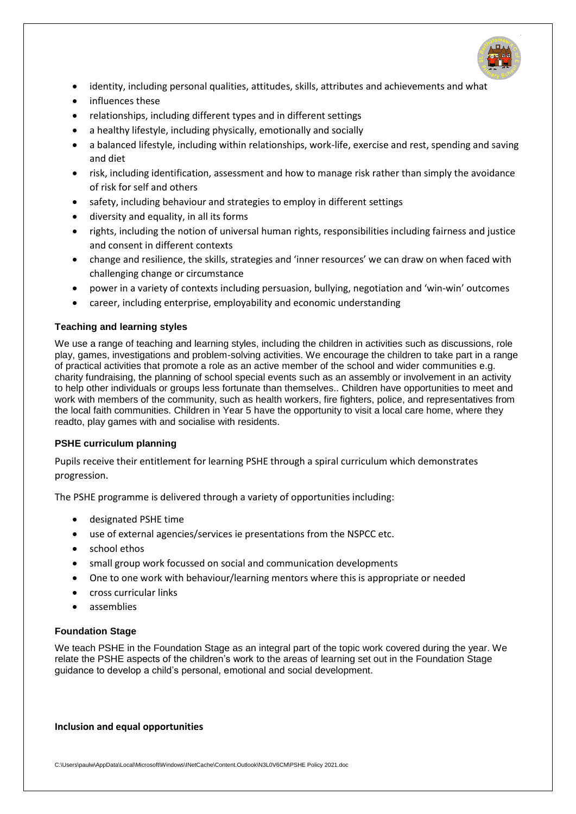

- identity, including personal qualities, attitudes, skills, attributes and achievements and what
- influences these
- relationships, including different types and in different settings
- a healthy lifestyle, including physically, emotionally and socially
- a balanced lifestyle, including within relationships, work-life, exercise and rest, spending and saving and diet
- risk, including identification, assessment and how to manage risk rather than simply the avoidance of risk for self and others
- safety, including behaviour and strategies to employ in different settings
- diversity and equality, in all its forms
- rights, including the notion of universal human rights, responsibilities including fairness and justice and consent in different contexts
- change and resilience, the skills, strategies and 'inner resources' we can draw on when faced with challenging change or circumstance
- power in a variety of contexts including persuasion, bullying, negotiation and 'win-win' outcomes
- career, including enterprise, employability and economic understanding

## **Teaching and learning styles**

We use a range of teaching and learning styles, including the children in activities such as discussions, role play, games, investigations and problem-solving activities. We encourage the children to take part in a range of practical activities that promote a role as an active member of the school and wider communities e.g. charity fundraising, the planning of school special events such as an assembly or involvement in an activity to help other individuals or groups less fortunate than themselves.. Children have opportunities to meet and work with members of the community, such as health workers, fire fighters, police, and representatives from the local faith communities. Children in Year 5 have the opportunity to visit a local care home, where they readto, play games with and socialise with residents.

#### **PSHE curriculum planning**

Pupils receive their entitlement for learning PSHE through a spiral curriculum which demonstrates progression.

The PSHE programme is delivered through a variety of opportunities including:

- designated PSHE time
- use of external agencies/services ie presentations from the NSPCC etc.
- school ethos
- small group work focussed on social and communication developments
- One to one work with behaviour/learning mentors where this is appropriate or needed
- cross curricular links
- assemblies

#### **Foundation Stage**

We teach PSHE in the Foundation Stage as an integral part of the topic work covered during the year. We relate the PSHE aspects of the children's work to the areas of learning set out in the Foundation Stage guidance to develop a child's personal, emotional and social development.

#### **Inclusion and equal opportunities**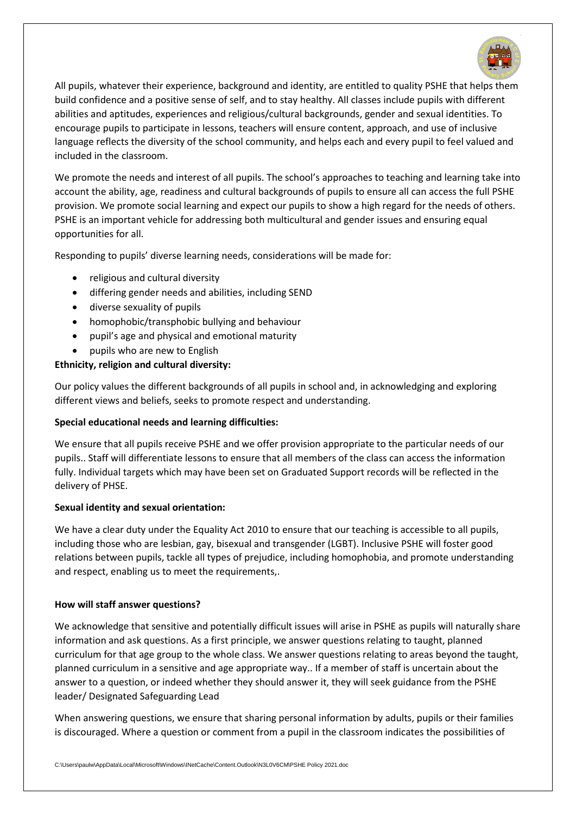

All pupils, whatever their experience, background and identity, are entitled to quality PSHE that helps them build confidence and a positive sense of self, and to stay healthy. All classes include pupils with different abilities and aptitudes, experiences and religious/cultural backgrounds, gender and sexual identities. To encourage pupils to participate in lessons, teachers will ensure content, approach, and use of inclusive language reflects the diversity of the school community, and helps each and every pupil to feel valued and included in the classroom.

We promote the needs and interest of all pupils. The school's approaches to teaching and learning take into account the ability, age, readiness and cultural backgrounds of pupils to ensure all can access the full PSHE provision. We promote social learning and expect our pupils to show a high regard for the needs of others. PSHE is an important vehicle for addressing both multicultural and gender issues and ensuring equal opportunities for all.

Responding to pupils' diverse learning needs, considerations will be made for:

- religious and cultural diversity
- differing gender needs and abilities, including SEND
- diverse sexuality of pupils
- homophobic/transphobic bullying and behaviour
- pupil's age and physical and emotional maturity
- pupils who are new to English

## **Ethnicity, religion and cultural diversity:**

Our policy values the different backgrounds of all pupils in school and, in acknowledging and exploring different views and beliefs, seeks to promote respect and understanding.

#### **Special educational needs and learning difficulties:**

We ensure that all pupils receive PSHE and we offer provision appropriate to the particular needs of our pupils.. Staff will differentiate lessons to ensure that all members of the class can access the information fully. Individual targets which may have been set on Graduated Support records will be reflected in the delivery of PHSE.

#### **Sexual identity and sexual orientation:**

We have a clear duty under the Equality Act 2010 to ensure that our teaching is accessible to all pupils, including those who are lesbian, gay, bisexual and transgender (LGBT). Inclusive PSHE will foster good relations between pupils, tackle all types of prejudice, including homophobia, and promote understanding and respect, enabling us to meet the requirements,.

#### **How will staff answer questions?**

We acknowledge that sensitive and potentially difficult issues will arise in PSHE as pupils will naturally share information and ask questions. As a first principle, we answer questions relating to taught, planned curriculum for that age group to the whole class. We answer questions relating to areas beyond the taught, planned curriculum in a sensitive and age appropriate way.. If a member of staff is uncertain about the answer to a question, or indeed whether they should answer it, they will seek guidance from the PSHE leader/ Designated Safeguarding Lead

When answering questions, we ensure that sharing personal information by adults, pupils or their families is discouraged. Where a question or comment from a pupil in the classroom indicates the possibilities of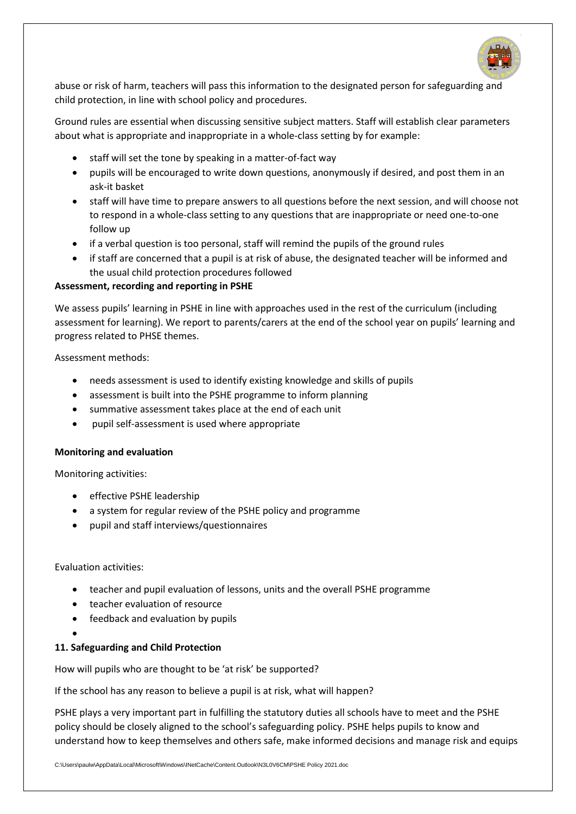

abuse or risk of harm, teachers will pass this information to the designated person for safeguarding and child protection, in line with school policy and procedures.

Ground rules are essential when discussing sensitive subject matters. Staff will establish clear parameters about what is appropriate and inappropriate in a whole-class setting by for example:

- staff will set the tone by speaking in a matter-of-fact way
- pupils will be encouraged to write down questions, anonymously if desired, and post them in an ask-it basket
- staff will have time to prepare answers to all questions before the next session, and will choose not to respond in a whole-class setting to any questions that are inappropriate or need one-to-one follow up
- if a verbal question is too personal, staff will remind the pupils of the ground rules
- if staff are concerned that a pupil is at risk of abuse, the designated teacher will be informed and the usual child protection procedures followed

#### **Assessment, recording and reporting in PSHE**

We assess pupils' learning in PSHE in line with approaches used in the rest of the curriculum (including assessment for learning). We report to parents/carers at the end of the school year on pupils' learning and progress related to PHSE themes.

Assessment methods:

- needs assessment is used to identify existing knowledge and skills of pupils
- assessment is built into the PSHE programme to inform planning
- summative assessment takes place at the end of each unit
- pupil self-assessment is used where appropriate

#### **Monitoring and evaluation**

Monitoring activities:

- **•** effective PSHE leadership
- a system for regular review of the PSHE policy and programme
- pupil and staff interviews/questionnaires

Evaluation activities:

- teacher and pupil evaluation of lessons, units and the overall PSHE programme
- teacher evaluation of resource
- feedback and evaluation by pupils
- $\bullet$

#### **11. Safeguarding and Child Protection**

How will pupils who are thought to be 'at risk' be supported?

If the school has any reason to believe a pupil is at risk, what will happen?

PSHE plays a very important part in fulfilling the statutory duties all schools have to meet and the PSHE policy should be closely aligned to the school's safeguarding policy. PSHE helps pupils to know and understand how to keep themselves and others safe, make informed decisions and manage risk and equips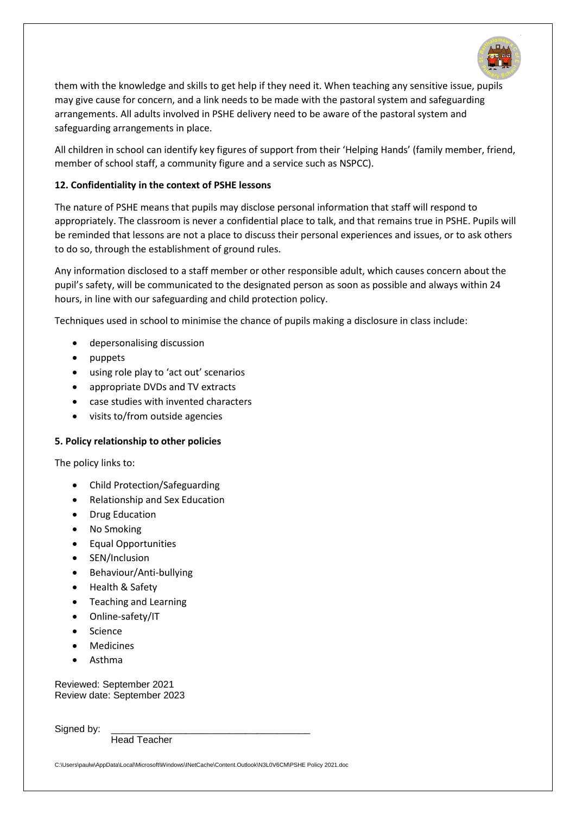

them with the knowledge and skills to get help if they need it. When teaching any sensitive issue, pupils may give cause for concern, and a link needs to be made with the pastoral system and safeguarding arrangements. All adults involved in PSHE delivery need to be aware of the pastoral system and safeguarding arrangements in place.

All children in school can identify key figures of support from their 'Helping Hands' (family member, friend, member of school staff, a community figure and a service such as NSPCC).

# **12. Confidentiality in the context of PSHE lessons**

The nature of PSHE means that pupils may disclose personal information that staff will respond to appropriately. The classroom is never a confidential place to talk, and that remains true in PSHE. Pupils will be reminded that lessons are not a place to discuss their personal experiences and issues, or to ask others to do so, through the establishment of ground rules.

Any information disclosed to a staff member or other responsible adult, which causes concern about the pupil's safety, will be communicated to the designated person as soon as possible and always within 24 hours, in line with our safeguarding and child protection policy.

Techniques used in school to minimise the chance of pupils making a disclosure in class include:

- depersonalising discussion
- puppets
- using role play to 'act out' scenarios
- appropriate DVDs and TV extracts
- case studies with invented characters
- visits to/from outside agencies

#### **5. Policy relationship to other policies**

The policy links to:

- Child Protection/Safeguarding
- Relationship and Sex Education
- Drug Education
- No Smoking
- Equal Opportunities
- SEN/Inclusion
- Behaviour/Anti-bullying
- Health & Safety
- Teaching and Learning
- Online-safety/IT
- Science
- Medicines
- Asthma

Reviewed: September 2021 Review date: September 2023

Signed by:

Head Teacher

C:\Users\paulw\AppData\Local\Microsoft\Windows\INetCache\Content.Outlook\N3L0V6CM\PSHE Policy 2021.doc